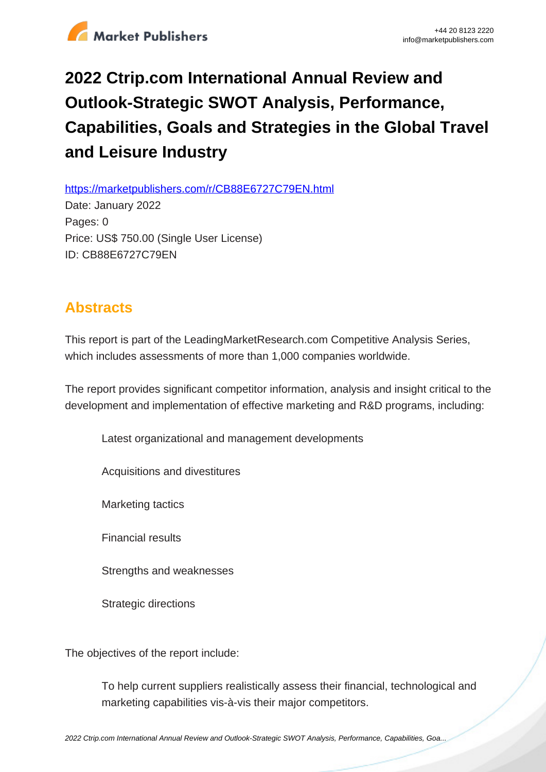

## **2022 Ctrip.com International Annual Review and Outlook-Strategic SWOT Analysis, Performance, Capabilities, Goals and Strategies in the Global Travel and Leisure Industry**

https://marketpublishers.com/r/CB88E6727C79EN.html

Date: January 2022 Pages: 0 Price: US\$ 750.00 (Single User License) ID: CB88E6727C79EN

## **Abstracts**

This report is part of the LeadingMarketResearch.com Competitive Analysis Series, which includes assessments of more than 1,000 companies worldwide.

The report provides significant competitor information, analysis and insight critical to the development and implementation of effective marketing and R&D programs, including:

Latest organizational and management developments

Acquisitions and divestitures

Marketing tactics

Financial results

Strengths and weaknesses

Strategic directions

The objectives of the report include:

To help current suppliers realistically assess their financial, technological and marketing capabilities vis-à-vis their major competitors.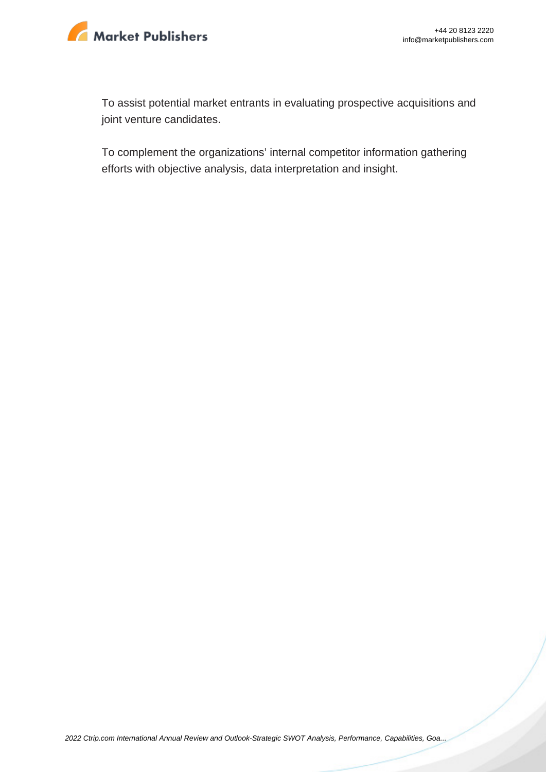

To assist potential market entrants in evaluating prospective acquisitions and joint venture candidates.

To complement the organizations' internal competitor information gathering efforts with objective analysis, data interpretation and insight.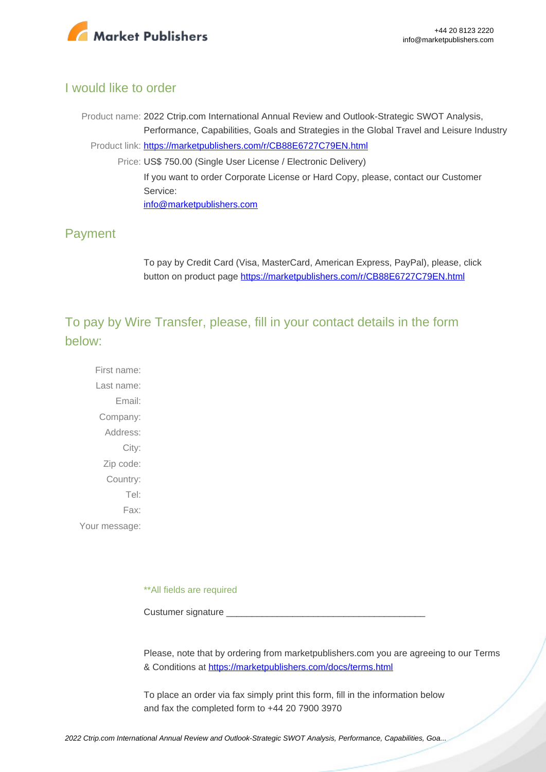

## I would like to order

Product name: 2022 Ctrip.com International Annual Review and Outlook-Strategic SWOT Analysis, Performance, Capabilities, Goals and Strategies in the Global Travel and Leisure Industry Product link: [https://marketpublishers.com/r/CB88E6727C79EN.html](https://marketpublishers.com/report/services/travel-leisure/ctripcom-international-annual-review-n-outlook-strategic-swot-analysis-performance-capabilities-goals-n-strategies-in-global-travel-n-leisure.html) Price: US\$ 750.00 (Single User License / Electronic Delivery) If you want to order Corporate License or Hard Copy, please, contact our Customer Service: [info@marketpublishers.com](mailto:info@marketpublishers.com)

## Payment

To pay by Credit Card (Visa, MasterCard, American Express, PayPal), please, click button on product page [https://marketpublishers.com/r/CB88E6727C79EN.html](https://marketpublishers.com/report/services/travel-leisure/ctripcom-international-annual-review-n-outlook-strategic-swot-analysis-performance-capabilities-goals-n-strategies-in-global-travel-n-leisure.html)

To pay by Wire Transfer, please, fill in your contact details in the form below:

First name: Last name: Email: Company: Address: City: Zip code: Country: Tel: Fax: Your message:

\*\*All fields are required

Custumer signature

Please, note that by ordering from marketpublishers.com you are agreeing to our Terms & Conditions at<https://marketpublishers.com/docs/terms.html>

To place an order via fax simply print this form, fill in the information below and fax the completed form to +44 20 7900 3970